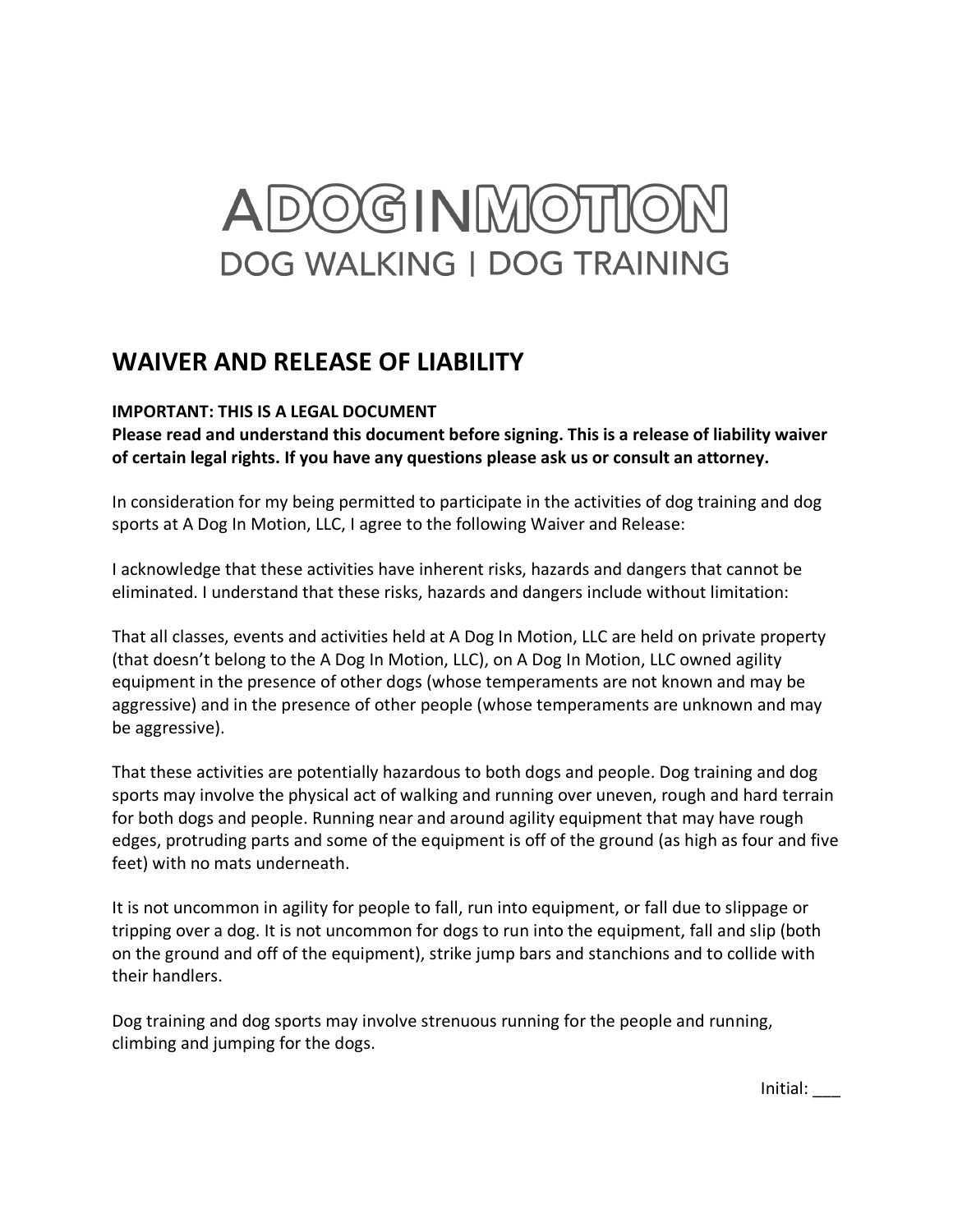## ADOGINMOTIC **DOG WALKING I DOG TRAINING**

## **WAIVER AND RELEASE OF LIABILITY**

## **IMPORTANT: THIS IS A LEGAL DOCUMENT**

**Please read and understand this document before signing. This is a release of liability waiver of certain legal rights. If you have any questions please ask us or consult an attorney.** 

In consideration for my being permitted to participate in the activities of dog training and dog sports at A Dog In Motion, LLC, I agree to the following Waiver and Release:

I acknowledge that these activities have inherent risks, hazards and dangers that cannot be eliminated. I understand that these risks, hazards and dangers include without limitation:

That all classes, events and activities held at A Dog In Motion, LLC are held on private property (that doesn't belong to the A Dog In Motion, LLC), on A Dog In Motion, LLC owned agility equipment in the presence of other dogs (whose temperaments are not known and may be aggressive) and in the presence of other people (whose temperaments are unknown and may be aggressive).

That these activities are potentially hazardous to both dogs and people. Dog training and dog sports may involve the physical act of walking and running over uneven, rough and hard terrain for both dogs and people. Running near and around agility equipment that may have rough edges, protruding parts and some of the equipment is off of the ground (as high as four and five feet) with no mats underneath.

It is not uncommon in agility for people to fall, run into equipment, or fall due to slippage or tripping over a dog. It is not uncommon for dogs to run into the equipment, fall and slip (both on the ground and off of the equipment), strike jump bars and stanchions and to collide with their handlers.

Dog training and dog sports may involve strenuous running for the people and running, climbing and jumping for the dogs.

Initial: \_\_\_